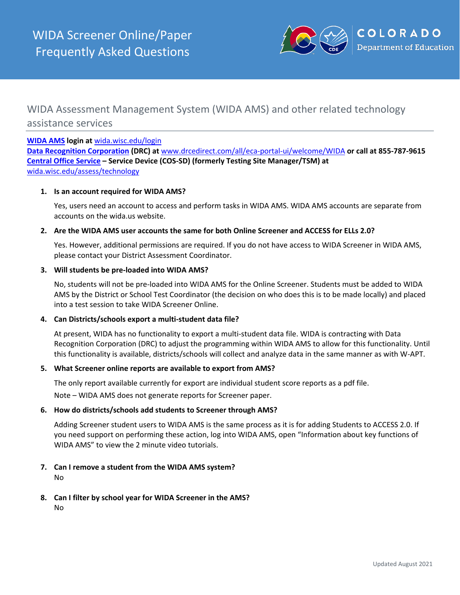

# WIDA Assessment Management System (WIDA AMS) and other related technology assistance services

#### **[WIDA AMS](https://wida.wisc.edu/login) login at** [wida.wisc.edu/login](https://wida.wisc.edu/login)

**[Data Recognition Corporation](https://wida.wisc.edu/assess/technology) (DRC) at** [www.drcedirect.com/all/eca-portal-ui/welcome/WIDA](http://www.drcedirect.com/all/eca-portal-ui/welcome/WIDA) **or call at 855-787-9615 [Central Office Service](https://wida.wisc.edu/assess/technology) – Service Device (COS-SD) (formerly Testing Site Manager/TSM) at**  [wida.wisc.edu/assess/technology](https://wida.wisc.edu/assess/technology)

#### **1. Is an account required for WIDA AMS?**

Yes, users need an account to access and perform tasks in WIDA AMS. WIDA AMS accounts are separate from accounts on the wida.us website.

#### **2. Are the WIDA AMS user accounts the same for both Online Screener and ACCESS for ELLs 2.0?**

Yes. However, additional permissions are required. If you do not have access to WIDA Screener in WIDA AMS, please contact your District Assessment Coordinator.

#### **3. Will students be pre-loaded into WIDA AMS?**

No, students will not be pre-loaded into WIDA AMS for the Online Screener. Students must be added to WIDA AMS by the District or School Test Coordinator (the decision on who does this is to be made locally) and placed into a test session to take WIDA Screener Online.

#### **4. Can Districts/schools export a multi-student data file?**

At present, WIDA has no functionality to export a multi-student data file. WIDA is contracting with Data Recognition Corporation (DRC) to adjust the programming within WIDA AMS to allow for this functionality. Until this functionality is available, districts/schools will collect and analyze data in the same manner as with W-APT.

#### **5. What Screener online reports are available to export from AMS?**

The only report available currently for export are individual student score reports as a pdf file.

Note – WIDA AMS does not generate reports for Screener paper.

#### **6. How do districts/schools add students to Screener through AMS?**

Adding Screener student users to WIDA AMS is the same process as it is for adding Students to ACCESS 2.0. If you need support on performing these action, log into WIDA AMS, open "Information about key functions of WIDA AMS" to view the 2 minute video tutorials.

**7. Can I remove a student from the WIDA AMS system?**

No

**8. Can I filter by school year for WIDA Screener in the AMS?**

No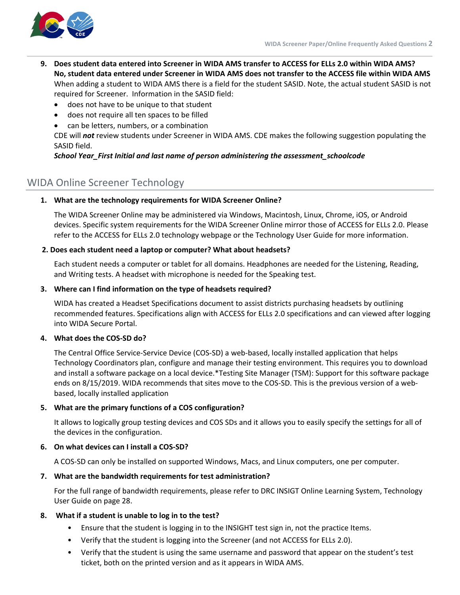

- **9. Does student data entered into Screener in WIDA AMS transfer to ACCESS for ELLs 2.0 within WIDA AMS? No, student data entered under Screener in WIDA AMS does not transfer to the ACCESS file within WIDA AMS** When adding a student to WIDA AMS there is a field for the student SASID. Note, the actual student SASID is not required for Screener. Information in the SASID field:
	- does not have to be unique to that student
	- does not require all ten spaces to be filled
	- can be letters, numbers, or a combination

CDE will *not* review students under Screener in WIDA AMS. CDE makes the following suggestion populating the SASID field.

# *School Year\_First Initial and last name of person administering the assessment\_schoolcode*

# WIDA Online Screener Technology

# **1. What are the technology requirements for WIDA Screener Online?**

The WIDA Screener Online may be administered via Windows, Macintosh, Linux, Chrome, iOS, or Android devices. Specific system requirements for the WIDA Screener Online mirror those of ACCESS for ELLs 2.0. Please refer to the ACCESS for ELLs 2.0 technology webpage or the Technology User Guide for more information.

# **2. Does each student need a laptop or computer? What about headsets?**

Each student needs a computer or tablet for all domains. Headphones are needed for the Listening, Reading, and Writing tests. A headset with microphone is needed for the Speaking test.

# **3. Where can I find information on the type of headsets required?**

WIDA has created a Headset Specifications document to assist districts purchasing headsets by outlining recommended features. Specifications align with ACCESS for ELLs 2.0 specifications and can viewed after logging into WIDA Secure Portal.

# **4. What does the COS-SD do?**

The Central Office Service-Service Device (COS-SD) a web-based, locally installed application that helps Technology Coordinators plan, configure and manage their testing environment. This requires you to download and install a software package on a local device.\*Testing Site Manager (TSM): Support for this software package ends on 8/15/2019. WIDA recommends that sites move to the COS-SD. This is the previous version of a webbased, locally installed application

# **5. What are the primary functions of a COS configuration?**

It allows to logically group testing devices and COS SDs and it allows you to easily specify the settings for all of the devices in the configuration.

# **6. On what devices can I install a COS-SD?**

A COS-SD can only be installed on supported Windows, Macs, and Linux computers, one per computer.

# **7. What are the bandwidth requirements for test administration?**

For the full range of bandwidth requirements, please refer to DRC INSIGT Online Learning System, Technology User Guide on page 28.

# **8. What if a student is unable to log in to the test?**

- Ensure that the student is logging in to the INSIGHT test sign in, not the practice Items.
- Verify that the student is logging into the Screener (and not ACCESS for ELLs 2.0).
- Verify that the student is using the same username and password that appear on the student's test ticket, both on the printed version and as it appears in WIDA AMS.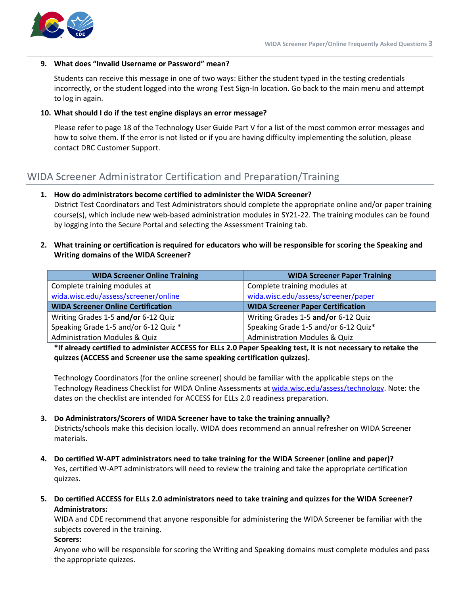

#### **9. What does "Invalid Username or Password" mean?**

Students can receive this message in one of two ways: Either the student typed in the testing credentials incorrectly, or the student logged into the wrong Test Sign-In location. Go back to the main menu and attempt to log in again.

#### **10. What should I do if the test engine displays an error message?**

Please refer to page 18 of the Technology User Guide Part V for a list of the most common error messages and how to solve them. If the error is not listed or if you are having difficulty implementing the solution, please contact DRC Customer Support.

# WIDA Screener Administrator Certification and Preparation/Training

# **1. How do administrators become certified to administer the WIDA Screener?**

District Test Coordinators and Test Administrators should complete the appropriate online and/or paper training course(s), which include new web-based administration modules in SY21-22. The training modules can be found by logging into the Secure Portal and selecting the Assessment Training tab.

**2. What training or certification is required for educators who will be responsible for scoring the Speaking and Writing domains of the WIDA Screener?**

| <b>WIDA Screener Online Training</b>      | <b>WIDA Screener Paper Training</b>      |
|-------------------------------------------|------------------------------------------|
| Complete training modules at              | Complete training modules at             |
| wida.wisc.edu/assess/screener/online      | wida.wisc.edu/assess/screener/paper      |
| <b>WIDA Screener Online Certification</b> | <b>WIDA Screener Paper Certification</b> |
| Writing Grades 1-5 and/or 6-12 Quiz       | Writing Grades 1-5 and/or 6-12 Quiz      |
| Speaking Grade 1-5 and/or 6-12 Quiz *     | Speaking Grade 1-5 and/or 6-12 Quiz*     |
| <b>Administration Modules &amp; Quiz</b>  | <b>Administration Modules &amp; Quiz</b> |

**\*If already certified to administer ACCESS for ELLs 2.0 Paper Speaking test, it is not necessary to retake the quizzes (ACCESS and Screener use the same speaking certification quizzes).**

Technology Coordinators (for the online screener) should be familiar with the applicable steps on the Technology Readiness Checklist for WIDA Online Assessments at wida.wisc.edu/assess/technology. Note: the dates on the checklist are intended for ACCESS for ELLs 2.0 readiness preparation.

# **3. Do Administrators/Scorers of WIDA Screener have to take the training annually?**

Districts/schools make this decision locally. WIDA does recommend an annual refresher on WIDA Screener materials.

- **4. Do certified W-APT administrators need to take training for the WIDA Screener (online and paper)?** Yes, certified W-APT administrators will need to review the training and take the appropriate certification quizzes.
- **5. Do certified ACCESS for ELLs 2.0 administrators need to take training and quizzes for the WIDA Screener? Administrators:**

WIDA and CDE recommend that anyone responsible for administering the WIDA Screener be familiar with the subjects covered in the training.

#### **Scorers:**

Anyone who will be responsible for scoring the Writing and Speaking domains must complete modules and pass the appropriate quizzes.